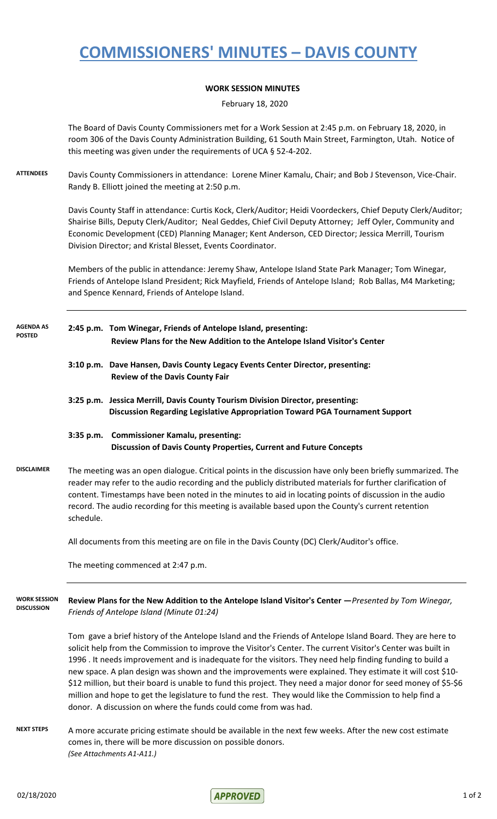# **COMMISSIONERS' MINUTES – DAVIS COUNTY**

### **WORK SESSION MINUTES**

February 18, 2020

The Board of Davis County Commissioners met for a Work Session at 2:45 p.m. on February 18, 2020, in room 306 of the Davis County Administration Building, 61 South Main Street, Farmington, Utah. Notice of this meeting was given under the requirements of UCA § 52-4-202.

**ATTENDEES** Davis County Commissioners in attendance: Lorene Miner Kamalu, Chair; and Bob J Stevenson, Vice-Chair. Randy B. Elliott joined the meeting at 2:50 p.m.

> Davis County Staff in attendance: Curtis Kock, Clerk/Auditor; Heidi Voordeckers, Chief Deputy Clerk/Auditor; Shairise Bills, Deputy Clerk/Auditor; Neal Geddes, Chief Civil Deputy Attorney; Jeff Oyler, Community and Economic Development (CED) Planning Manager; Kent Anderson, CED Director; Jessica Merrill, Tourism Division Director; and Kristal Blesset, Events Coordinator.

Members of the public in attendance: Jeremy Shaw, Antelope Island State Park Manager; Tom Winegar, Friends of Antelope Island President; Rick Mayfield, Friends of Antelope Island; Rob Ballas, M4 Marketing; and Spence Kennard, Friends of Antelope Island.

- **2:45 p.m. Tom Winegar, Friends of Antelope Island, presenting: Review Plans for the New Addition to the Antelope Island Visitor's Center AGENDA AS POSTED**
	- **3:10 p.m. Dave Hansen, Davis County Legacy Events Center Director, presenting: Review of the Davis County Fair**
	- **3:25 p.m. Jessica Merrill, Davis County Tourism Division Director, presenting: Discussion Regarding Legislative Appropriation Toward PGA Tournament Support**

### **3:35 p.m. Commissioner Kamalu, presenting: Discussion of Davis County Properties, Current and Future Concepts**

**DISCLAIMER** The meeting was an open dialogue. Critical points in the discussion have only been briefly summarized. The reader may refer to the audio recording and the publicly distributed materials for further clarification of content. Timestamps have been noted in the minutes to aid in locating points of discussion in the audio record. The audio recording for this meeting is available based upon the County's current retention schedule.

All documents from this meeting are on file in the Davis County (DC) Clerk/Auditor's office.

The meeting commenced at 2:47 p.m.

**Review Plans for the New Addition to the Antelope Island Visitor's Center —***Presented by Tom Winegar, Friends of Antelope Island (Minute 01:24)* **WORK SESSION DISCUSSION**

> Tom gave a brief history of the Antelope Island and the Friends of Antelope Island Board. They are here to solicit help from the Commission to improve the Visitor's Center. The current Visitor's Center was built in 1996 . It needs improvement and is inadequate for the visitors. They need help finding funding to build a new space. A plan design was shown and the improvements were explained. They estimate it will cost \$10- \$12 million, but their board is unable to fund this project. They need a major donor for seed money of \$5-\$6 million and hope to get the legislature to fund the rest. They would like the Commission to help find a donor. A discussion on where the funds could come from was had.

NEXT STEPS A more accurate pricing estimate should be available in the next few weeks. After the new cost estimate comes in, there will be more discussion on possible donors. *(See Attachments A1-A11.)*

 $O2/18/2020$  1 of 2